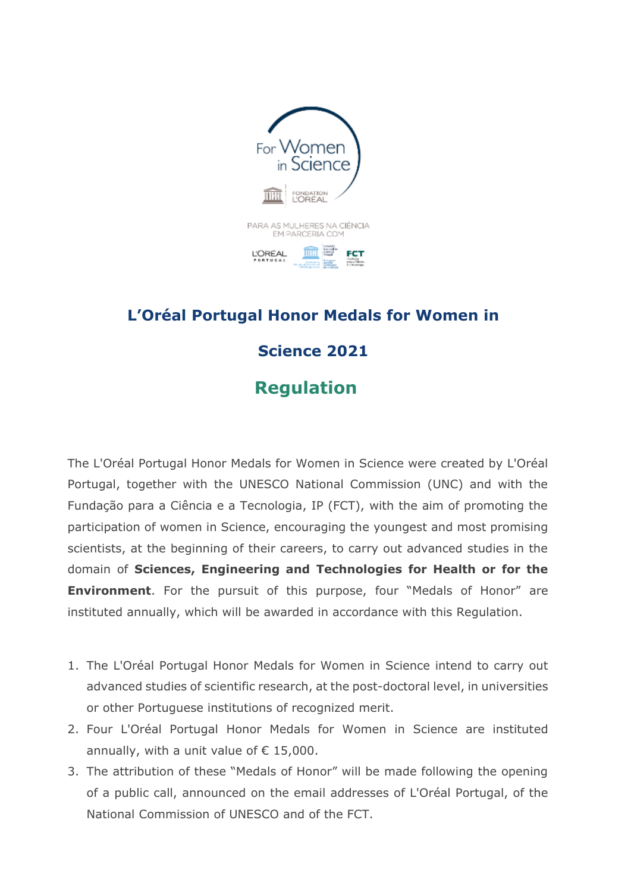

## **L'Oréal Portugal Honor Medals for Women in Science 2021 Regulation**

The L'Oréal Portugal Honor Medals for Women in Science were created by L'Oréal Portugal, together with the UNESCO National Commission (UNC) and with the Fundação para a Ciência e a Tecnologia, IP (FCT), with the aim of promoting the participation of women in Science, encouraging the youngest and most promising scientists, at the beginning of their careers, to carry out advanced studies in the domain of **Sciences, Engineering and Technologies for Health or for the Environment**. For the pursuit of this purpose, four "Medals of Honor" are instituted annually, which will be awarded in accordance with this Regulation.

- 1. The L'Oréal Portugal Honor Medals for Women in Science intend to carry out advanced studies of scientific research, at the post-doctoral level, in universities or other Portuguese institutions of recognized merit.
- 2. Four L'Oréal Portugal Honor Medals for Women in Science are instituted annually, with a unit value of  $\epsilon$  15,000.
- 3. The attribution of these "Medals of Honor" will be made following the opening of a public call, announced on the email addresses of L'Oréal Portugal, of the National Commission of UNESCO and of the FCT.